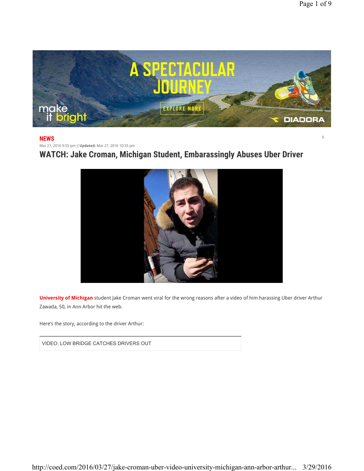$\overline{0}$ 



## **NEWS**

Mar 27, 2016 9:55 pm |**Updated:** Mar 27, 2016 10:35 pm

**WATCH: Jake Croman, Michigan Student, Embarassingly Abuses Uber Driver**



**University of Michigan** student Jake Croman went viral for the wrong reasons after a video of him harassing Uber driver Arthur Zawada, 50, in Ann Arbor hit the web.

Here's the story, according to the driver Arthur:

VIDEO: LOW BRIDGE CATCHES DRIVERS OUT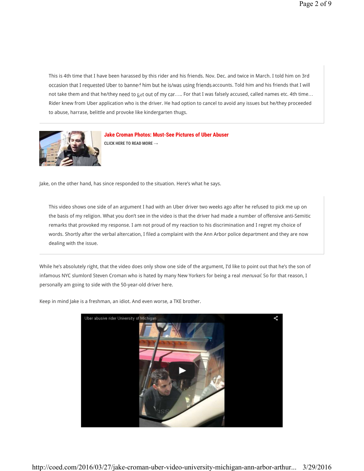This is 4th time that I have been harassed by this rider and his friends. Nov. Dec. and twice in March. I told him on 3rd occasion that I requested Uber to banned him but he is/was using friends accounts. Told him and his friends that I will not take them and that he/they need to get out of my car..... For that I was falsely accused, called names etc. 4th time... Rider knew from Uber application who is the driver. He had option to cancel to avoid any issues but he/they proceeded to abuse, harrase, belittle and provoke like kindergarten thugs.



**Jake Croman Photos: Must-See Pictures of Uber Abuser CLICK HERE TO READ MORE →**

Jake, on the other hand, has since responded to the situation. Here's what he says.

This video shows one side of an argument I had with an Uber driver two weeks ago after he refused to pick me up on the basis of my religion. What you don't see in the video is that the driver had made a number of offensive anti-Semitic remarks that provoked my response. I am not proud of my reaction to his discrimination and I regret my choice of words. Shortly after the verbal altercation, I filed a complaint with the Ann Arbor police department and they are now dealing with the issue.

While he's absolutely right, that the video does only show one side of the argument, I'd like to point out that he's the son of infamous NYC slumlord Steven Croman who is hated by many New Yorkers for being a real menuval. So for that reason, I personally am going to side with the 50-year-old driver here.



Keep in mind Jake is a freshman, an idiot. And even worse, a TKE brother.